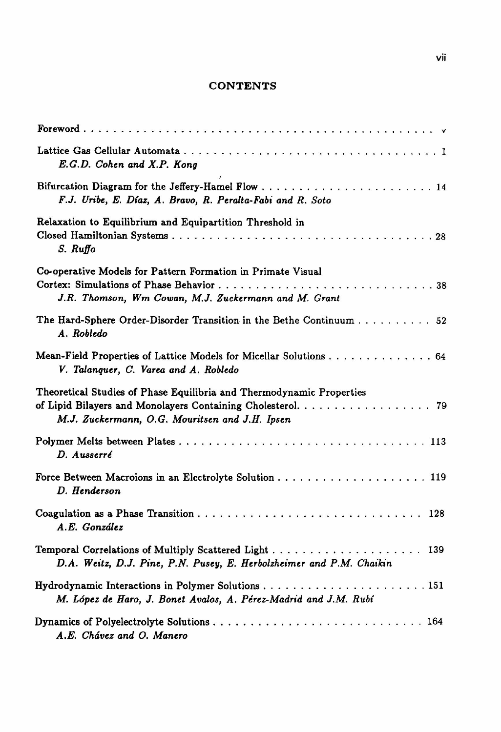## **CONTENTS**

| E.G.D. Cohen and X.P. Kong                                                                                                                                                            |
|---------------------------------------------------------------------------------------------------------------------------------------------------------------------------------------|
| F.J. Uribe, E. Díaz, A. Bravo, R. Peralta-Fabi and R. Soto                                                                                                                            |
| Relaxation to Equilibrium and Equipartition Threshold in<br>S. Ruffo                                                                                                                  |
| Co-operative Models for Pattern Formation in Primate Visual<br>J.R. Thomson, Wm Cowan, M.J. Zuckermann and M. Grant                                                                   |
| The Hard-Sphere Order-Disorder Transition in the Bethe Continuum 52<br>A. Robledo                                                                                                     |
| Mean-Field Properties of Lattice Models for Micellar Solutions 64<br>V. Talanguer, C. Varea and A. Robledo                                                                            |
| Theoretical Studies of Phase Equilibria and Thermodynamic Properties<br>of Lipid Bilayers and Monolayers Containing Cholesterol. 79<br>M.J. Zuckermann, O.G. Mouritsen and J.H. Ipsen |
| D. Ausserré                                                                                                                                                                           |
| D. Henderson                                                                                                                                                                          |
| A.E. González                                                                                                                                                                         |
| D.A. Weitz, D.J. Pine, P.N. Pusey, E. Herbolzheimer and P.M. Chaikin                                                                                                                  |
| M. López de Haro, J. Bonet Avalos, A. Pérez-Madrid and J.M. Rubí                                                                                                                      |
| A.E. Chávez and O. Manero                                                                                                                                                             |